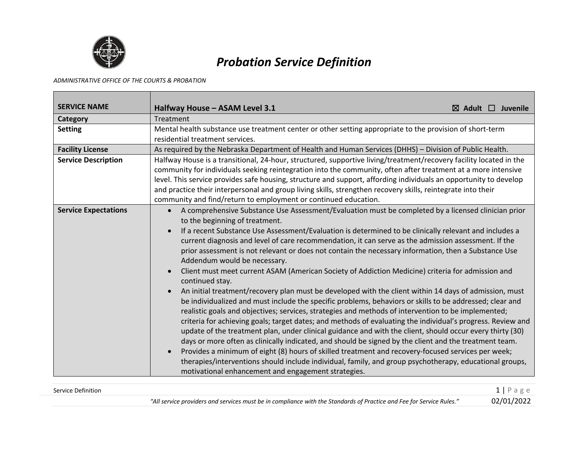

## *Probation Service Definition*

## *ADMINISTRATIVE OFFICE OF THE COURTS & PROBATION*

| <b>SERVICE NAME</b>         | Halfway House - ASAM Level 3.1<br>$\boxtimes$ Adult $\Box$ Juvenile                                                                                                                                                                                                                                                                                                                                                                                                                                                                                                                                                                                                                                                                                                                                                                                                                                                                                                                                                                                                                                                                                                                                                                                                                                                                                                                                                                                                                                                                                                             |  |  |
|-----------------------------|---------------------------------------------------------------------------------------------------------------------------------------------------------------------------------------------------------------------------------------------------------------------------------------------------------------------------------------------------------------------------------------------------------------------------------------------------------------------------------------------------------------------------------------------------------------------------------------------------------------------------------------------------------------------------------------------------------------------------------------------------------------------------------------------------------------------------------------------------------------------------------------------------------------------------------------------------------------------------------------------------------------------------------------------------------------------------------------------------------------------------------------------------------------------------------------------------------------------------------------------------------------------------------------------------------------------------------------------------------------------------------------------------------------------------------------------------------------------------------------------------------------------------------------------------------------------------------|--|--|
| Category                    | Treatment                                                                                                                                                                                                                                                                                                                                                                                                                                                                                                                                                                                                                                                                                                                                                                                                                                                                                                                                                                                                                                                                                                                                                                                                                                                                                                                                                                                                                                                                                                                                                                       |  |  |
| <b>Setting</b>              | Mental health substance use treatment center or other setting appropriate to the provision of short-term<br>residential treatment services.                                                                                                                                                                                                                                                                                                                                                                                                                                                                                                                                                                                                                                                                                                                                                                                                                                                                                                                                                                                                                                                                                                                                                                                                                                                                                                                                                                                                                                     |  |  |
| <b>Facility License</b>     | As required by the Nebraska Department of Health and Human Services (DHHS) - Division of Public Health.                                                                                                                                                                                                                                                                                                                                                                                                                                                                                                                                                                                                                                                                                                                                                                                                                                                                                                                                                                                                                                                                                                                                                                                                                                                                                                                                                                                                                                                                         |  |  |
| <b>Service Description</b>  | Halfway House is a transitional, 24-hour, structured, supportive living/treatment/recovery facility located in the<br>community for individuals seeking reintegration into the community, often after treatment at a more intensive<br>level. This service provides safe housing, structure and support, affording individuals an opportunity to develop<br>and practice their interpersonal and group living skills, strengthen recovery skills, reintegrate into their<br>community and find/return to employment or continued education.                                                                                                                                                                                                                                                                                                                                                                                                                                                                                                                                                                                                                                                                                                                                                                                                                                                                                                                                                                                                                                     |  |  |
| <b>Service Expectations</b> | A comprehensive Substance Use Assessment/Evaluation must be completed by a licensed clinician prior<br>$\bullet$<br>to the beginning of treatment.<br>If a recent Substance Use Assessment/Evaluation is determined to be clinically relevant and includes a<br>current diagnosis and level of care recommendation, it can serve as the admission assessment. If the<br>prior assessment is not relevant or does not contain the necessary information, then a Substance Use<br>Addendum would be necessary.<br>Client must meet current ASAM (American Society of Addiction Medicine) criteria for admission and<br>continued stay.<br>An initial treatment/recovery plan must be developed with the client within 14 days of admission, must<br>be individualized and must include the specific problems, behaviors or skills to be addressed; clear and<br>realistic goals and objectives; services, strategies and methods of intervention to be implemented;<br>criteria for achieving goals; target dates; and methods of evaluating the individual's progress. Review and<br>update of the treatment plan, under clinical guidance and with the client, should occur every thirty (30)<br>days or more often as clinically indicated, and should be signed by the client and the treatment team.<br>Provides a minimum of eight (8) hours of skilled treatment and recovery-focused services per week;<br>therapies/interventions should include individual, family, and group psychotherapy, educational groups,<br>motivational enhancement and engagement strategies. |  |  |

| Service Definition |                                                                                                                      | $1$   Page |
|--------------------|----------------------------------------------------------------------------------------------------------------------|------------|
|                    | "All service providers and services must be in compliance with the Standards of Practice and Fee for Service Rules." | 02/01/2022 |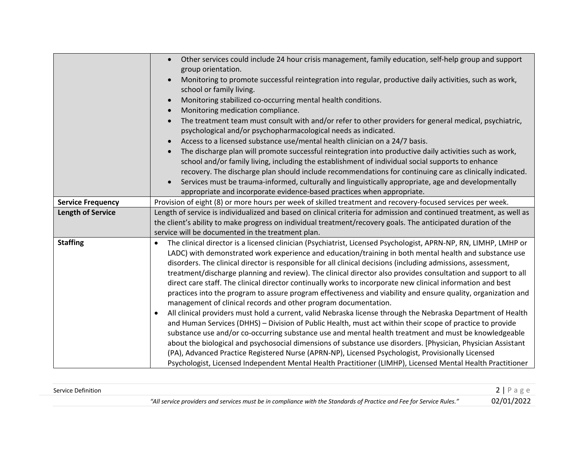|                          | Other services could include 24 hour crisis management, family education, self-help group and support<br>group orientation.<br>Monitoring to promote successful reintegration into regular, productive daily activities, such as work,<br>school or family living.<br>Monitoring stabilized co-occurring mental health conditions.<br>Monitoring medication compliance.<br>The treatment team must consult with and/or refer to other providers for general medical, psychiatric,<br>psychological and/or psychopharmacological needs as indicated.<br>Access to a licensed substance use/mental health clinician on a 24/7 basis.<br>The discharge plan will promote successful reintegration into productive daily activities such as work,<br>school and/or family living, including the establishment of individual social supports to enhance                                                                                                                                                                                                                                                                                                                                                                                                                                                                                                                                                                                                   |
|--------------------------|------------------------------------------------------------------------------------------------------------------------------------------------------------------------------------------------------------------------------------------------------------------------------------------------------------------------------------------------------------------------------------------------------------------------------------------------------------------------------------------------------------------------------------------------------------------------------------------------------------------------------------------------------------------------------------------------------------------------------------------------------------------------------------------------------------------------------------------------------------------------------------------------------------------------------------------------------------------------------------------------------------------------------------------------------------------------------------------------------------------------------------------------------------------------------------------------------------------------------------------------------------------------------------------------------------------------------------------------------------------------------------------------------------------------------------------------------|
|                          | recovery. The discharge plan should include recommendations for continuing care as clinically indicated.<br>Services must be trauma-informed, culturally and linguistically appropriate, age and developmentally                                                                                                                                                                                                                                                                                                                                                                                                                                                                                                                                                                                                                                                                                                                                                                                                                                                                                                                                                                                                                                                                                                                                                                                                                                     |
|                          | appropriate and incorporate evidence-based practices when appropriate.                                                                                                                                                                                                                                                                                                                                                                                                                                                                                                                                                                                                                                                                                                                                                                                                                                                                                                                                                                                                                                                                                                                                                                                                                                                                                                                                                                               |
| <b>Service Frequency</b> | Provision of eight (8) or more hours per week of skilled treatment and recovery-focused services per week.                                                                                                                                                                                                                                                                                                                                                                                                                                                                                                                                                                                                                                                                                                                                                                                                                                                                                                                                                                                                                                                                                                                                                                                                                                                                                                                                           |
| <b>Length of Service</b> | Length of service is individualized and based on clinical criteria for admission and continued treatment, as well as<br>the client's ability to make progress on individual treatment/recovery goals. The anticipated duration of the<br>service will be documented in the treatment plan.                                                                                                                                                                                                                                                                                                                                                                                                                                                                                                                                                                                                                                                                                                                                                                                                                                                                                                                                                                                                                                                                                                                                                           |
| <b>Staffing</b>          | The clinical director is a licensed clinician (Psychiatrist, Licensed Psychologist, APRN-NP, RN, LIMHP, LMHP or<br>LADC) with demonstrated work experience and education/training in both mental health and substance use<br>disorders. The clinical director is responsible for all clinical decisions (including admissions, assessment,<br>treatment/discharge planning and review). The clinical director also provides consultation and support to all<br>direct care staff. The clinical director continually works to incorporate new clinical information and best<br>practices into the program to assure program effectiveness and viability and ensure quality, organization and<br>management of clinical records and other program documentation.<br>All clinical providers must hold a current, valid Nebraska license through the Nebraska Department of Health<br>$\bullet$<br>and Human Services (DHHS) - Division of Public Health, must act within their scope of practice to provide<br>substance use and/or co-occurring substance use and mental health treatment and must be knowledgeable<br>about the biological and psychosocial dimensions of substance use disorders. [Physician, Physician Assistant<br>(PA), Advanced Practice Registered Nurse (APRN-NP), Licensed Psychologist, Provisionally Licensed<br>Psychologist, Licensed Independent Mental Health Practitioner (LIMHP), Licensed Mental Health Practitioner |

| Service Definition |                                                                                                                                   |  |
|--------------------|-----------------------------------------------------------------------------------------------------------------------------------|--|
|                    | ., Service Rules."<br>. . Loo tar <sup>r</sup><br>providers and services must be in compliance with the Standards of Practice and |  |